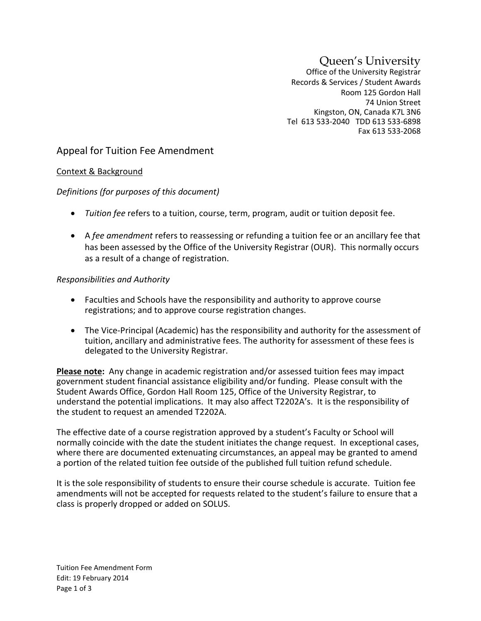# Queen's University

Office of the University Registrar Records & Services / Student Awards Room 125 Gordon Hall 74 Union Street Kingston, ON, Canada K7L 3N6 Tel 613 533-2040 TDD 613 533-6898 Fax 613 533-2068

## Appeal for Tuition Fee Amendment

### Context & Background

### *Definitions (for purposes of this document)*

- *Tuition fee* refers to a tuition, course, term, program, audit or tuition deposit fee.
- A *fee amendment* refers to reassessing or refunding a tuition fee or an ancillary fee that has been assessed by the Office of the University Registrar (OUR). This normally occurs as a result of a change of registration.

### *Responsibilities and Authority*

- Faculties and Schools have the responsibility and authority to approve course registrations; and to approve course registration changes.
- The Vice-Principal (Academic) has the responsibility and authority for the assessment of tuition, ancillary and administrative fees. The authority for assessment of these fees is delegated to the University Registrar.

**Please note:** Any change in academic registration and/or assessed tuition fees may impact government student financial assistance eligibility and/or funding. Please consult with the Student Awards Office, Gordon Hall Room 125, Office of the University Registrar, to understand the potential implications. It may also affect T2202A's. It is the responsibility of the student to request an amended T2202A.

The effective date of a course registration approved by a student's Faculty or School will normally coincide with the date the student initiates the change request. In exceptional cases, where there are documented extenuating circumstances, an appeal may be granted to amend a portion of the related tuition fee outside of the published full tuition refund schedule.

It is the sole responsibility of students to ensure their course schedule is accurate. Tuition fee amendments will not be accepted for requests related to the student's failure to ensure that a class is properly dropped or added on SOLUS.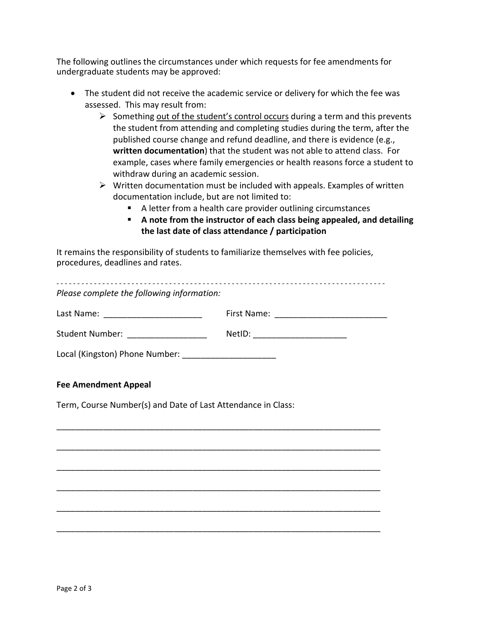The following outlines the circumstances under which requests for fee amendments for undergraduate students may be approved:

- The student did not receive the academic service or delivery for which the fee was assessed. This may result from:
	- Something out of the student's control occurs during a term and this prevents the student from attending and completing studies during the term, after the published course change and refund deadline, and there is evidence (e.g., **written documentation**) that the student was not able to attend class. For example, cases where family emergencies or health reasons force a student to withdraw during an academic session.
	- $\triangleright$  Written documentation must be included with appeals. Examples of written documentation include, but are not limited to:
		- A letter from a health care provider outlining circumstances
		- **A note from the instructor of each class being appealed, and detailing the last date of class attendance / participation**

It remains the responsibility of students to familiarize themselves with fee policies, procedures, deadlines and rates.

| Please complete the following information: |                               |
|--------------------------------------------|-------------------------------|
|                                            |                               |
|                                            | NetID: ______________________ |
|                                            |                               |
| <b>Fee Amendment Appeal</b>                |                               |

\_\_\_\_\_\_\_\_\_\_\_\_\_\_\_\_\_\_\_\_\_\_\_\_\_\_\_\_\_\_\_\_\_\_\_\_\_\_\_\_\_\_\_\_\_\_\_\_\_\_\_\_\_\_\_\_\_\_\_\_\_\_\_\_\_\_\_\_\_

\_\_\_\_\_\_\_\_\_\_\_\_\_\_\_\_\_\_\_\_\_\_\_\_\_\_\_\_\_\_\_\_\_\_\_\_\_\_\_\_\_\_\_\_\_\_\_\_\_\_\_\_\_\_\_\_\_\_\_\_\_\_\_\_\_\_\_\_\_

\_\_\_\_\_\_\_\_\_\_\_\_\_\_\_\_\_\_\_\_\_\_\_\_\_\_\_\_\_\_\_\_\_\_\_\_\_\_\_\_\_\_\_\_\_\_\_\_\_\_\_\_\_\_\_\_\_\_\_\_\_\_\_\_\_\_\_\_\_

\_\_\_\_\_\_\_\_\_\_\_\_\_\_\_\_\_\_\_\_\_\_\_\_\_\_\_\_\_\_\_\_\_\_\_\_\_\_\_\_\_\_\_\_\_\_\_\_\_\_\_\_\_\_\_\_\_\_\_\_\_\_\_\_\_\_\_\_\_

\_\_\_\_\_\_\_\_\_\_\_\_\_\_\_\_\_\_\_\_\_\_\_\_\_\_\_\_\_\_\_\_\_\_\_\_\_\_\_\_\_\_\_\_\_\_\_\_\_\_\_\_\_\_\_\_\_\_\_\_\_\_\_\_\_\_\_\_\_

\_\_\_\_\_\_\_\_\_\_\_\_\_\_\_\_\_\_\_\_\_\_\_\_\_\_\_\_\_\_\_\_\_\_\_\_\_\_\_\_\_\_\_\_\_\_\_\_\_\_\_\_\_\_\_\_\_\_\_\_\_\_\_\_\_\_\_\_\_

Term, Course Number(s) and Date of Last Attendance in Class: